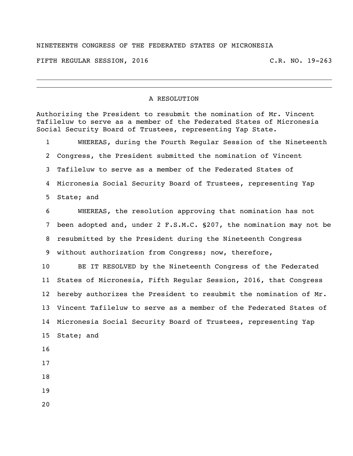## NINETEENTH CONGRESS OF THE FEDERATED STATES OF MICRONESIA

FIFTH REGULAR SESSION, 2016 C.R. NO. 19-263

## A RESOLUTION

Authorizing the President to resubmit the nomination of Mr. Vincent Tafileluw to serve as a member of the Federated States of Micronesia Social Security Board of Trustees, representing Yap State. WHEREAS, during the Fourth Regular Session of the Nineteenth Congress, the President submitted the nomination of Vincent Tafileluw to serve as a member of the Federated States of Micronesia Social Security Board of Trustees, representing Yap State; and WHEREAS, the resolution approving that nomination has not been adopted and, under 2 F.S.M.C. §207, the nomination may not be resubmitted by the President during the Nineteenth Congress without authorization from Congress; now, therefore, BE IT RESOLVED by the Nineteenth Congress of the Federated States of Micronesia, Fifth Regular Session, 2016, that Congress hereby authorizes the President to resubmit the nomination of Mr. Vincent Tafileluw to serve as a member of the Federated States of Micronesia Social Security Board of Trustees, representing Yap State; and